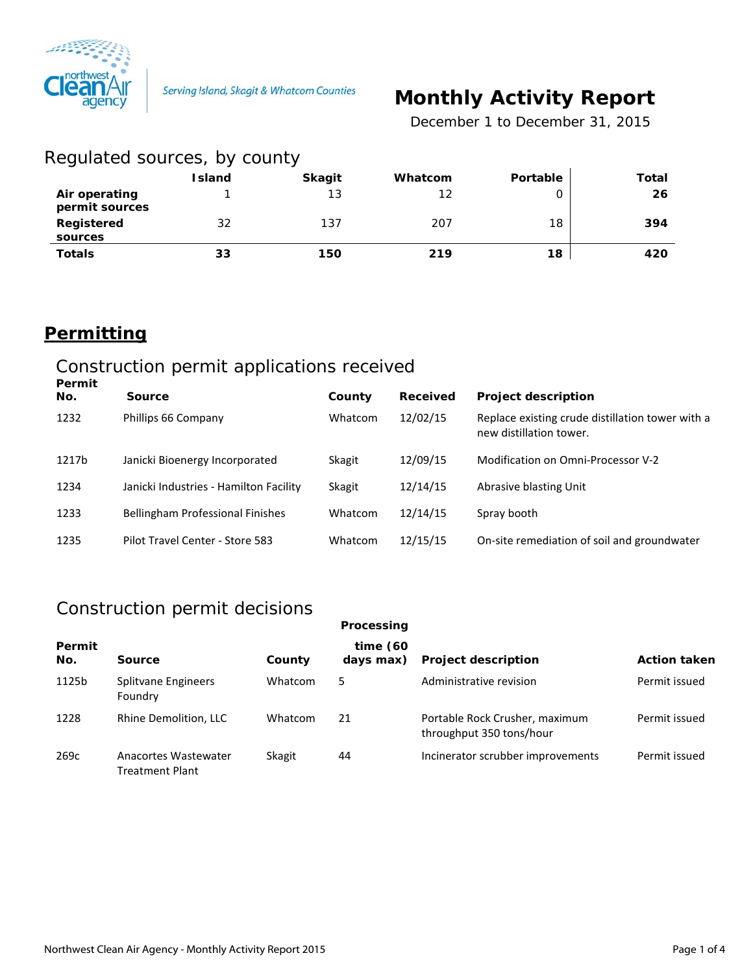

# **Monthly Activity Report**

 *December 1 to December 31, 2015*

| Regulated sources, by county    |               |               |         |          |              |
|---------------------------------|---------------|---------------|---------|----------|--------------|
|                                 | <b>Island</b> | <b>Skagit</b> | Whatcom | Portable | <b>Total</b> |
| Air operating<br>permit sources |               | 13            | 12      |          | 26           |
| Registered<br>sources           | 32            | 137           | 207     | 18       | 394          |
| <b>Totals</b>                   | 33            | 150           | 219     | 18       | 420          |

# **Permitting**

### Construction permit applications received

| Permit<br>No. | Source                                  | County  | Received | <b>Project description</b>                                                  |
|---------------|-----------------------------------------|---------|----------|-----------------------------------------------------------------------------|
| 1232          | Phillips 66 Company                     | Whatcom | 12/02/15 | Replace existing crude distillation tower with a<br>new distillation tower. |
| 1217b         | Janicki Bioenergy Incorporated          | Skagit  | 12/09/15 | Modification on Omni-Processor V-2                                          |
| 1234          | Janicki Industries - Hamilton Facility  | Skagit  | 12/14/15 | Abrasive blasting Unit                                                      |
| 1233          | <b>Bellingham Professional Finishes</b> | Whatcom | 12/14/15 | Spray booth                                                                 |
| 1235          | Pilot Travel Center - Store 583         | Whatcom | 12/15/15 | On-site remediation of soil and groundwater                                 |

## Construction permit decisions

|                  |                                                |         | Processing               |                                                            |                     |
|------------------|------------------------------------------------|---------|--------------------------|------------------------------------------------------------|---------------------|
| Permit<br>No.    | Source                                         | County  | time $(60)$<br>days max) | <b>Project description</b>                                 | <b>Action taken</b> |
| 1125b            | <b>Splitvane Engineers</b><br>Foundry          | Whatcom | 5                        | Administrative revision                                    | Permit issued       |
| 1228             | Rhine Demolition, LLC                          | Whatcom | 21                       | Portable Rock Crusher, maximum<br>throughput 350 tons/hour | Permit issued       |
| 269 <sub>c</sub> | Anacortes Wastewater<br><b>Treatment Plant</b> | Skagit  | 44                       | Incinerator scrubber improvements                          | Permit issued       |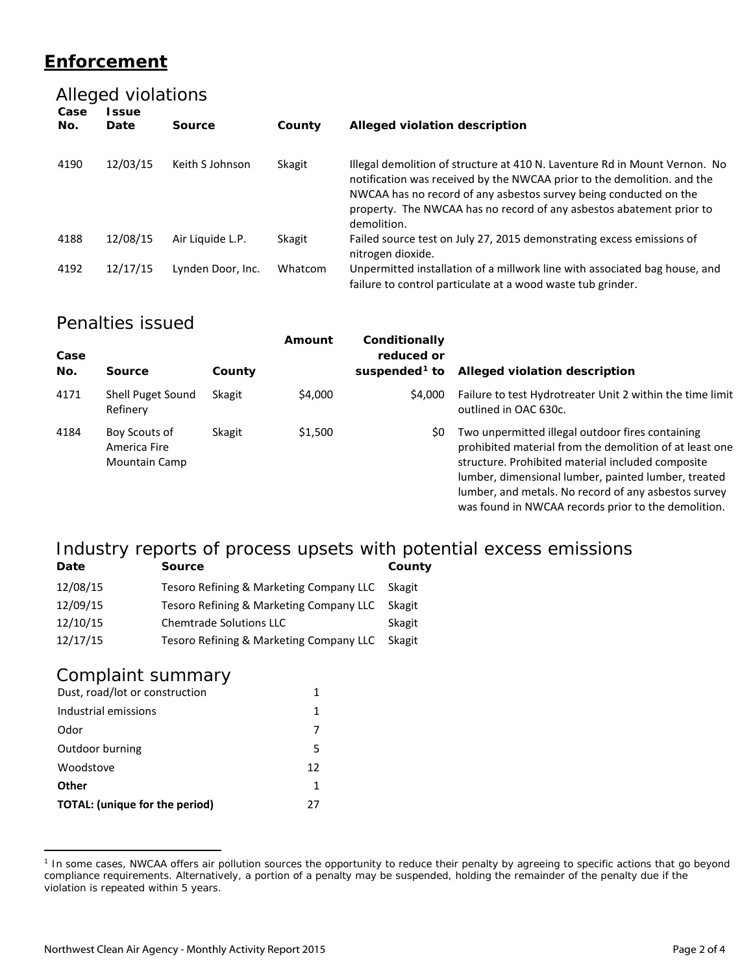## **Enforcement**

#### Alleged violations

| Case<br>No. | ssue<br>Date | Source            | County  | Alleged violation description                                                                                                                                                                                                                                                                                     |
|-------------|--------------|-------------------|---------|-------------------------------------------------------------------------------------------------------------------------------------------------------------------------------------------------------------------------------------------------------------------------------------------------------------------|
| 4190        | 12/03/15     | Keith S Johnson   | Skagit  | Illegal demolition of structure at 410 N. Laventure Rd in Mount Vernon. No<br>notification was received by the NWCAA prior to the demolition. and the<br>NWCAA has no record of any asbestos survey being conducted on the<br>property. The NWCAA has no record of any asbestos abatement prior to<br>demolition. |
| 4188        | 12/08/15     | Air Liquide L.P.  | Skagit  | Failed source test on July 27, 2015 demonstrating excess emissions of<br>nitrogen dioxide.                                                                                                                                                                                                                        |
| 4192        | 12/17/15     | Lynden Door, Inc. | Whatcom | Unpermitted installation of a millwork line with associated bag house, and<br>failure to control particulate at a wood waste tub grinder.                                                                                                                                                                         |

#### Penalties issued

| Case<br>No. | Source                                         | County | Amount  | Conditionally<br>reduced or<br>suspended $1$ to | Alleged violation description                                                                                                                                                                                                                                                                                                          |
|-------------|------------------------------------------------|--------|---------|-------------------------------------------------|----------------------------------------------------------------------------------------------------------------------------------------------------------------------------------------------------------------------------------------------------------------------------------------------------------------------------------------|
| 4171        | Shell Puget Sound<br>Refinery                  | Skagit | \$4,000 | \$4,000                                         | Failure to test Hydrotreater Unit 2 within the time limit<br>outlined in OAC 630c.                                                                                                                                                                                                                                                     |
| 4184        | Boy Scouts of<br>America Fire<br>Mountain Camp | Skagit | \$1.500 | SO.                                             | Two unpermitted illegal outdoor fires containing<br>prohibited material from the demolition of at least one<br>structure. Prohibited material included composite<br>lumber, dimensional lumber, painted lumber, treated<br>lumber, and metals. No record of any asbestos survey<br>was found in NWCAA records prior to the demolition. |

#### Industry reports of process upsets with potential excess emissions **Date Source County**

| 12/08/15 | Tesoro Refining & Marketing Company LLC Skagit |        |
|----------|------------------------------------------------|--------|
| 12/09/15 | Tesoro Refining & Marketing Company LLC        | Skagit |
| 12/10/15 | <b>Chemtrade Solutions LLC</b>                 | Skagit |
| 12/17/15 | Tesoro Refining & Marketing Company LLC        | Skagit |

#### Complaint summary

 $\overline{a}$ 

| Dust, road/lot or construction        |    |
|---------------------------------------|----|
| Industrial emissions                  | 1  |
| Odor                                  |    |
| Outdoor burning                       | 5  |
| Woodstove                             | 12 |
| Other                                 | 1  |
| <b>TOTAL:</b> (unique for the period) | 27 |

<span id="page-1-0"></span><sup>&</sup>lt;sup>1</sup> In some cases, NWCAA offers air pollution sources the opportunity to reduce their penalty by agreeing to specific actions that go beyond compliance requirements. Alternatively, a portion of a penalty may be suspended, holding the remainder of the penalty due if the violation is repeated within 5 years.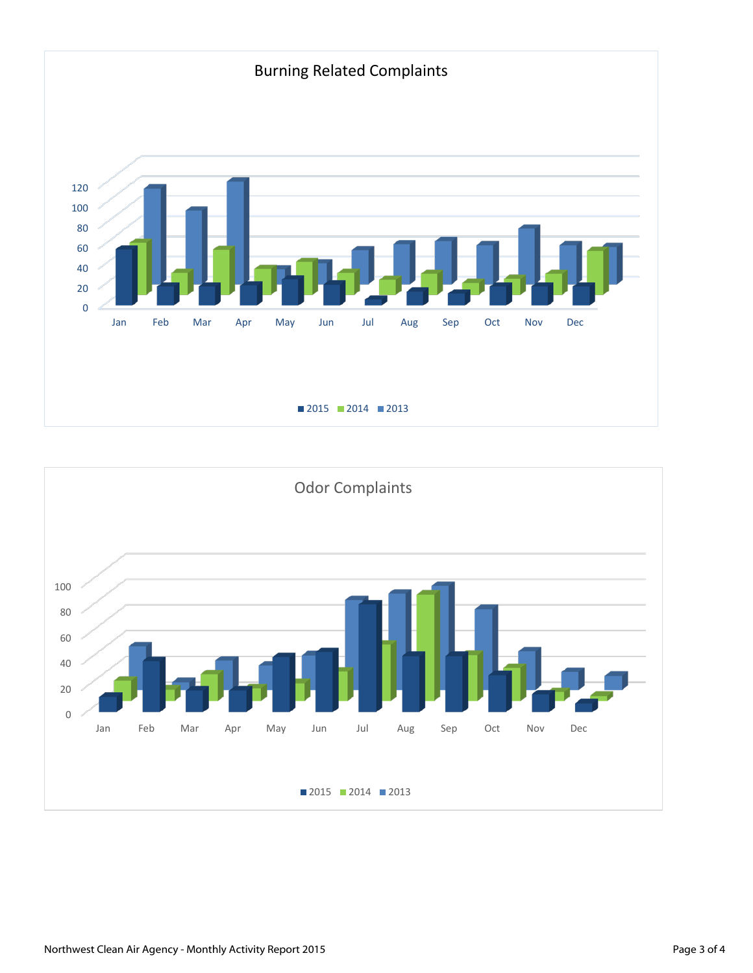